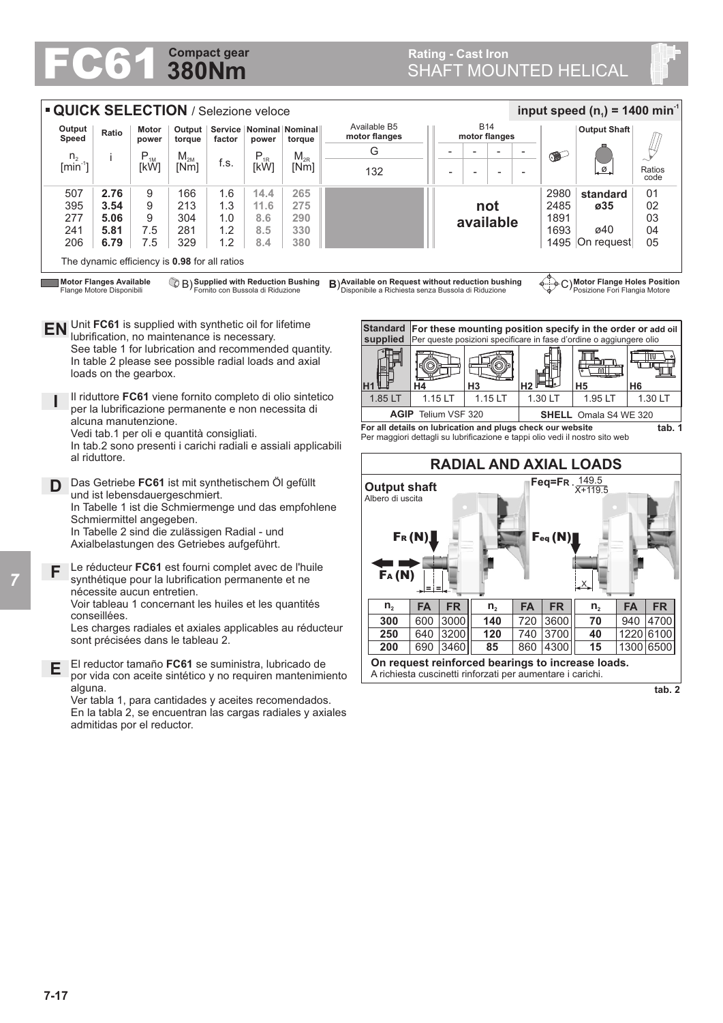## **380Nm**

## **FC61** SHAFT MOUNTED HELICAL **Rating - Cast Iron<br>SHAFT MOUNTED HELICAL**

| <b>QUICK SELECTION / Selezione veloce</b><br>input speed (n <sub>1</sub> ) = 1400 min <sup>-1</sup>                                                                                                                                                        |                                                                                                                                                                                                                                                                                                                                                                                                                                                                                            |              |                            |                                                                              |            |                                                                                                     |                                                            |                                         |          |           |                             |     |                               |                                           |              |                     |           |                |  |  |
|------------------------------------------------------------------------------------------------------------------------------------------------------------------------------------------------------------------------------------------------------------|--------------------------------------------------------------------------------------------------------------------------------------------------------------------------------------------------------------------------------------------------------------------------------------------------------------------------------------------------------------------------------------------------------------------------------------------------------------------------------------------|--------------|----------------------------|------------------------------------------------------------------------------|------------|-----------------------------------------------------------------------------------------------------|------------------------------------------------------------|-----------------------------------------|----------|-----------|-----------------------------|-----|-------------------------------|-------------------------------------------|--------------|---------------------|-----------|----------------|--|--|
|                                                                                                                                                                                                                                                            | Output<br>Speed                                                                                                                                                                                                                                                                                                                                                                                                                                                                            | Ratio        | Motor<br>power             | Output<br>torque                                                             | factor     | Service   Nominal   Nominal  <br>power                                                              | torque                                                     | Available B5<br>motor flanges           |          |           | <b>B14</b><br>motor flanges |     |                               |                                           |              | <b>Output Shaft</b> |           |                |  |  |
|                                                                                                                                                                                                                                                            | n <sub>2</sub>                                                                                                                                                                                                                                                                                                                                                                                                                                                                             |              | $P_{1M}$                   | $\mathsf{M}_{\mathsf{2M}}$                                                   |            | $P_{1R}$                                                                                            | $M_{2R}$                                                   |                                         | G        |           |                             |     |                               |                                           | $\bullet$    |                     |           |                |  |  |
|                                                                                                                                                                                                                                                            | $[min^{-1}]$                                                                                                                                                                                                                                                                                                                                                                                                                                                                               |              | [kW]                       | [Nm]                                                                         | f.s.       | [kW]                                                                                                | [Nm]                                                       |                                         | 132      |           |                             |     |                               |                                           |              | Ø                   |           | Ratios<br>code |  |  |
|                                                                                                                                                                                                                                                            | 507<br>395                                                                                                                                                                                                                                                                                                                                                                                                                                                                                 | 2.76<br>3.54 | 9<br>9                     | 166<br>213                                                                   | 1.6<br>1.3 | 14.4<br>11.6                                                                                        | 265<br>275                                                 |                                         |          |           |                             |     | not                           |                                           | 2980<br>2485 | standard<br>ø35     |           | 01<br>02       |  |  |
|                                                                                                                                                                                                                                                            | 277                                                                                                                                                                                                                                                                                                                                                                                                                                                                                        | 5.06         | 9                          | 304                                                                          | 1.0        | 8.6                                                                                                 | 290                                                        |                                         |          |           |                             |     | available                     |                                           | 1891         |                     |           | 03             |  |  |
|                                                                                                                                                                                                                                                            | 241                                                                                                                                                                                                                                                                                                                                                                                                                                                                                        | 5.81         | 7.5                        | 281                                                                          | 1.2        | 8.5                                                                                                 | 330                                                        |                                         |          |           |                             |     |                               |                                           | 1693         | ø40                 |           | 04             |  |  |
| 206<br>6.79<br>7.5<br>329<br>1.2<br>380<br>8.4<br>1495 On request<br>The dynamic efficiency is 0.98 for all ratios                                                                                                                                         |                                                                                                                                                                                                                                                                                                                                                                                                                                                                                            |              |                            |                                                                              |            |                                                                                                     |                                                            |                                         |          |           |                             |     |                               |                                           | 05           |                     |           |                |  |  |
|                                                                                                                                                                                                                                                            | C) Motor Flange Holes Position<br><b>Motor Flanges Available</b><br>B) Supplied with Reduction Bushing<br>B) Available on Request without reduction bushing                                                                                                                                                                                                                                                                                                                                |              |                            |                                                                              |            |                                                                                                     |                                                            |                                         |          |           |                             |     |                               |                                           |              |                     |           |                |  |  |
| EN                                                                                                                                                                                                                                                         | Fornito con Bussola di Riduzione<br>Disponibile a Richiesta senza Bussola di Riduzione<br>Posizione Fori Flangia Motore<br>Flange Motore Disponibili<br>Unit FC61 is supplied with synthetic oil for lifetime<br><b>Standard</b><br>For these mounting position specify in the order or add oil<br>lubrification, no maintenance is necessary.<br>Per queste posizioni specificare in fase d'ordine o aggiungere olio<br>supplied<br>See table 1 for lubrication and recommended quantity. |              |                            |                                                                              |            |                                                                                                     |                                                            |                                         |          |           |                             |     |                               |                                           |              |                     |           |                |  |  |
| In table 2 please see possible radial loads and axial<br>$\overline{nn}$<br>loads on the gearbox.<br>H <sub>3</sub><br>H <sub>5</sub><br>Н2<br>H6<br>Η1<br>Н4                                                                                              |                                                                                                                                                                                                                                                                                                                                                                                                                                                                                            |              |                            |                                                                              |            |                                                                                                     |                                                            |                                         |          |           |                             |     |                               |                                           |              |                     |           |                |  |  |
| Il riduttore FC61 viene fornito completo di olio sintetico<br>1.15 LT<br>1.15 LT<br>1.85 LT<br>1.30 LT<br>per la lubrificazione permanente e non necessita di<br>AGIP Telium VSF 320<br><b>SHELL</b> Omala S4 WE 320<br>alcuna manutenzione.               |                                                                                                                                                                                                                                                                                                                                                                                                                                                                                            |              |                            |                                                                              |            |                                                                                                     |                                                            |                                         |          |           |                             |     |                               |                                           |              | 1.95 LT             |           | 1.30 LT        |  |  |
|                                                                                                                                                                                                                                                            |                                                                                                                                                                                                                                                                                                                                                                                                                                                                                            |              |                            |                                                                              |            |                                                                                                     |                                                            |                                         |          |           |                             |     |                               |                                           |              |                     |           |                |  |  |
| For all details on lubrication and plugs check our website<br>Vedi tab.1 per oli e quantità consigliati.<br>Per maggiori dettagli su lubrificazione e tappi olio vedi il nostro sito web<br>In tab.2 sono presenti i carichi radiali e assiali applicabili |                                                                                                                                                                                                                                                                                                                                                                                                                                                                                            |              |                            |                                                                              |            |                                                                                                     |                                                            |                                         |          |           |                             |     |                               | tab. 1                                    |              |                     |           |                |  |  |
|                                                                                                                                                                                                                                                            | al riduttore.                                                                                                                                                                                                                                                                                                                                                                                                                                                                              |              |                            |                                                                              |            |                                                                                                     |                                                            |                                         |          |           |                             |     | <b>RADIAL AND AXIAL LOADS</b> |                                           |              |                     |           |                |  |  |
| D                                                                                                                                                                                                                                                          |                                                                                                                                                                                                                                                                                                                                                                                                                                                                                            |              | Schmiermittel angegeben.   | und ist lebensdauergeschmiert.<br>Axialbelastungen des Getriebes aufgeführt. |            | Das Getriebe FC61 ist mit synthetischem Öl gefüllt<br>In Tabelle 2 sind die zulässigen Radial - und | In Tabelle 1 ist die Schmiermenge und das empfohlene       | <b>Output shaft</b><br>Albero di uscita | $F_R(N)$ |           |                             |     |                               | Feq=FR. $\frac{149.5}{X+119.5}$<br>Feq(N) |              |                     |           |                |  |  |
| F                                                                                                                                                                                                                                                          | Le réducteur FC61 est fourni complet avec de l'huile<br>FA(M)<br>synthétique pour la lubrification permanente et ne<br>nécessite aucun entretien.                                                                                                                                                                                                                                                                                                                                          |              |                            |                                                                              |            |                                                                                                     |                                                            |                                         |          |           |                             |     |                               |                                           |              |                     |           |                |  |  |
|                                                                                                                                                                                                                                                            | Voir tableau 1 concernant les huiles et les quantités                                                                                                                                                                                                                                                                                                                                                                                                                                      |              |                            |                                                                              |            |                                                                                                     |                                                            |                                         | $n_{2}$  | <b>FA</b> | <b>FR</b>                   |     | n <sub>2</sub>                | <b>FA</b>                                 | <b>FR</b>    | $n_{2}$             | <b>FA</b> | <b>FR</b>      |  |  |
|                                                                                                                                                                                                                                                            | conseillées.<br>Les charges radiales et axiales applicables au réducteur<br>sont précisées dans le tableau 2.                                                                                                                                                                                                                                                                                                                                                                              |              |                            |                                                                              |            |                                                                                                     |                                                            | 300                                     | 600      | 3000      |                             | 140 | 720                           | 3600                                      | 70           | 940                 | 4700      |                |  |  |
|                                                                                                                                                                                                                                                            |                                                                                                                                                                                                                                                                                                                                                                                                                                                                                            |              |                            |                                                                              |            |                                                                                                     |                                                            | 250                                     | 640      | 3200      |                             | 120 | 740                           | 3700                                      | 40           |                     | 1220 6100 |                |  |  |
| E.                                                                                                                                                                                                                                                         | 690 3460<br>860 4300<br>200<br>85<br>15<br>On request reinforced bearings to increase loads.<br>El reductor tamaño FC61 se suministra, lubricado de<br>A richiesta cuscinetti rinforzati per aumentare i carichi.<br>por vida con aceite sintético y no requiren mantenimiento                                                                                                                                                                                                             |              |                            |                                                                              |            |                                                                                                     |                                                            |                                         |          |           |                             |     |                               |                                           | 1300 6500    |                     |           |                |  |  |
|                                                                                                                                                                                                                                                            | alguna.<br>Ver tabla 1, para cantidades y aceites recomendados.                                                                                                                                                                                                                                                                                                                                                                                                                            |              |                            |                                                                              |            |                                                                                                     |                                                            |                                         |          |           |                             |     |                               |                                           |              |                     |           | tab. 2         |  |  |
|                                                                                                                                                                                                                                                            |                                                                                                                                                                                                                                                                                                                                                                                                                                                                                            |              | admitidas por el reductor. |                                                                              |            |                                                                                                     | En la tabla 2, se encuentran las cargas radiales y axiales |                                         |          |           |                             |     |                               |                                           |              |                     |           |                |  |  |

*7*